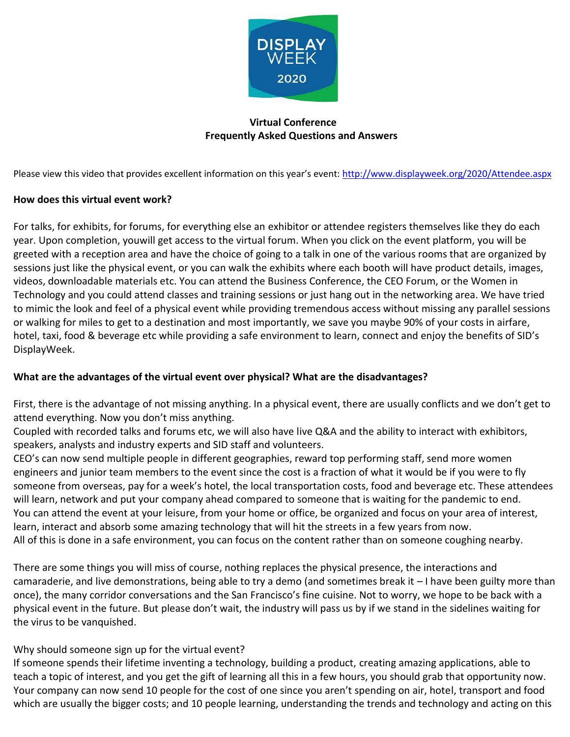

# **Virtual Conference Frequently Asked Questions and Answers**

Please view this video that provides excellent information on this year's event: <http://www.displayweek.org/2020/Attendee.aspx>

## **How does this virtual event work?**

For talks, for exhibits, for forums, for everything else an exhibitor or attendee registers themselves like they do each year. Upon completion, youwill get access to the virtual forum. When you click on the event platform, you will be greeted with a reception area and have the choice of going to a talk in one of the various rooms that are organized by sessions just like the physical event, or you can walk the exhibits where each booth will have product details, images, videos, downloadable materials etc. You can attend the Business Conference, the CEO Forum, or the Women in Technology and you could attend classes and training sessions or just hang out in the networking area. We have tried to mimic the look and feel of a physical event while providing tremendous access without missing any parallel sessions or walking for miles to get to a destination and most importantly, we save you maybe 90% of your costs in airfare, hotel, taxi, food & beverage etc while providing a safe environment to learn, connect and enjoy the benefits of SID's DisplayWeek.

## **What are the advantages of the virtual event over physical? What are the disadvantages?**

First, there is the advantage of not missing anything. In a physical event, there are usually conflicts and we don't get to attend everything. Now you don't miss anything.

Coupled with recorded talks and forums etc, we will also have live Q&A and the ability to interact with exhibitors, speakers, analysts and industry experts and SID staff and volunteers.

CEO's can now send multiple people in different geographies, reward top performing staff, send more women engineers and junior team members to the event since the cost is a fraction of what it would be if you were to fly someone from overseas, pay for a week's hotel, the local transportation costs, food and beverage etc. These attendees will learn, network and put your company ahead compared to someone that is waiting for the pandemic to end. You can attend the event at your leisure, from your home or office, be organized and focus on your area of interest, learn, interact and absorb some amazing technology that will hit the streets in a few years from now. All of this is done in a safe environment, you can focus on the content rather than on someone coughing nearby.

There are some things you will miss of course, nothing replaces the physical presence, the interactions and camaraderie, and live demonstrations, being able to try a demo (and sometimes break it – I have been guilty more than once), the many corridor conversations and the San Francisco's fine cuisine. Not to worry, we hope to be back with a physical event in the future. But please don't wait, the industry will pass us by if we stand in the sidelines waiting for the virus to be vanquished.

# Why should someone sign up for the virtual event?

If someone spends their lifetime inventing a technology, building a product, creating amazing applications, able to teach a topic of interest, and you get the gift of learning all this in a few hours, you should grab that opportunity now. Your company can now send 10 people for the cost of one since you aren't spending on air, hotel, transport and food which are usually the bigger costs; and 10 people learning, understanding the trends and technology and acting on this